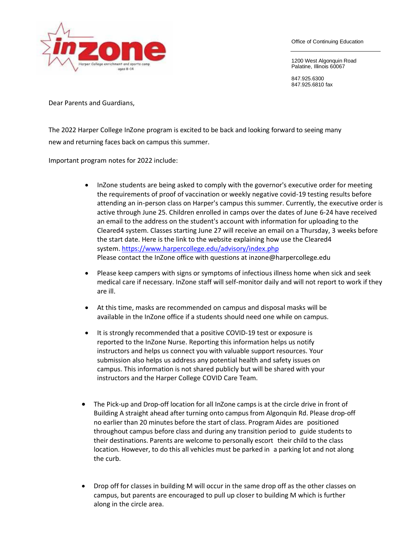

Office of Continuing Education

1200 West Algonquin Road Palatine, Illinois 60067

847.925.6300 847.925.6810 fax

Dear Parents and Guardians,

The 2022 Harper College InZone program is excited to be back and looking forward to seeing many new and returning faces back on campus this summer.

Important program notes for 2022 include:

- InZone students are being asked to comply with the governor's executive order for meeting the requirements of proof of vaccination or weekly negative covid-19 testing results before attending an in-person class on Harper's campus this summer. Currently, the executive order is active through June 25. Children enrolled in camps over the dates of June 6-24 have received an email to the address on the student's account with information for uploading to the Cleared4 system. Classes starting June 27 will receive an email on a Thursday, 3 weeks before the start date. Here is the link to the website explaining how use the Cleared4 system. <https://www.harpercollege.edu/advisory/index.php> Please contact the InZone office with questions at inzone@harpercollege.edu
- Please keep campers with signs or symptoms of infectious illness home when sick and seek medical care if necessary. InZone staff will self-monitor daily and will not report to work if they are ill.
- At this time, masks are recommended on campus and disposal masks will be available in the InZone office if a students should need one while on campus.
- It is strongly recommended that a positive COVID-19 test or exposure is reported to the InZone Nurse. Reporting this information helps us notify instructors and helps us connect you with valuable support resources. Your submission also helps us address any potential health and safety issues on campus. This information is not shared publicly but will be shared with your instructors and the Harper College COVID Care Team.
- The Pick-up and Drop-off location for all InZone camps is at the circle drive in front of Building A straight ahead after turning onto campus from Algonquin Rd. Please drop-off no earlier than 20 minutes before the start of class. Program Aides are positioned throughout campus before class and during any transition period to guide students to their destinations. Parents are welcome to personally escort their child to the class location. However, to do this all vehicles must be parked in a parking lot and not along the curb.
- Drop off for classes in building M will occur in the same drop off as the other classes on campus, but parents are encouraged to pull up closer to building M which is further along in the circle area.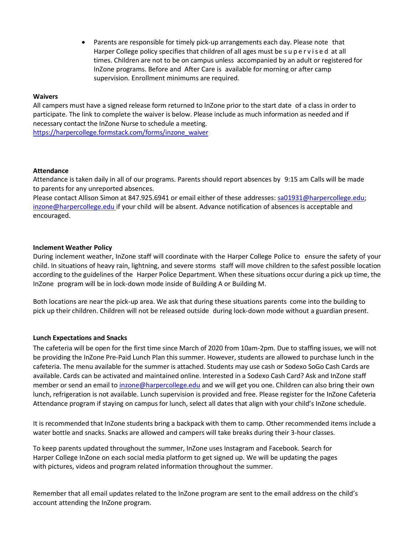• Parents are responsible for timely pick-up arrangements each day. Please note that Harper College policy specifies that children of all ages must be s u p e r v i s e d at all times. Children are not to be on campus unless accompanied by an adult or registered for InZone programs. Before and After Care is available for morning or after camp supervision. Enrollment minimums are required.

## **Waivers**

All campers must have a signed release form returned to InZone prior to the start date of a class in order to participate. The link to complete the waiver is below. Please include as much information as needed and if necessary contact the InZone Nurse to schedule a meeting. [https://harpercollege.formstack.com/forms/inzone\\_waiver](https://harpercollege.formstack.com/forms/inzone_waiver)

## **Attendance**

Attendance is taken daily in all of our programs. Parents should report absences by 9:15 am Calls will be made to parents for any unreported absences.

Please contact Allison Simon at 847.925.6941 or email either of these addresses: sa01931@harpe[rcollege.edu;](mailto:inzone@harpercollege.edu) [inzone@harp](mailto:inzone@harpercollege.edu)ercollege.edu if your child will be absent. Advance notification of absences is acceptable and encouraged.

## **Inclement Weather Policy**

During inclement weather, InZone staff will coordinate with the Harper College Police to ensure the safety of your child. In situations of heavy rain, lightning, and severe storms staff will move children to the safest possible location according to the guidelines of the Harper Police Department. When these situations occur during a pick up time, the InZone program will be in lock-down mode inside of Building A or Building M.

Both locations are near the pick-up area. We ask that during these situations parents come into the building to pick up their children. Children will not be released outside during lock-down mode without a guardian present.

## **Lunch Expectations and Snacks**

The cafeteria will be open for the first time since March of 2020 from 10am-2pm. Due to staffing issues, we will not be providing the InZone Pre-Paid Lunch Plan this summer. However, students are allowed to purchase lunch in the cafeteria. The menu available for the summer is attached. Students may use cash or Sodexo SoGo Cash Cards are available. Cards can be activated and maintained online. Interested in a Sodexo Cash Card? Ask and InZone staff member or send an email to [inzone@harpercollege.edu](mailto:inzone@harpercollege.edu) and we will get you one. Children can also bring their own lunch, refrigeration is not available. Lunch supervision is provided and free. Please register for the InZone Cafeteria Attendance program if staying on campus for lunch, select all dates that align with your child's InZone schedule.

It is recommended that InZone students bring a backpack with them to camp. Other recommended items include a water bottle and snacks. Snacks are allowed and campers will take breaks during their 3-hour classes.

To keep parents updated throughout the summer, InZone uses Instagram and Facebook. Search for Harper College InZone on each social media platform to get signed up. We will be updating the pages with pictures, videos and program related information throughout the summer.

Remember that all email updates related to the InZone program are sent to the email address on the child's account attending the InZone program.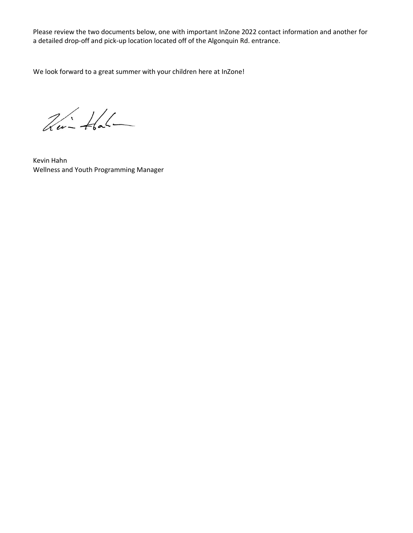Please review the two documents below, one with important InZone 2022 contact information and another for a detailed drop-off and pick-up location located off of the Algonquin Rd. entrance.

We look forward to a great summer with your children here at InZone!

 $26 - 46 -$ 

Kevin Hahn Wellness and Youth Programming Manager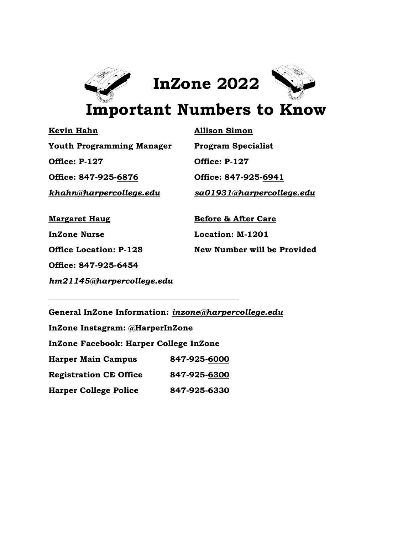

**Kevin Hahn Allison Simon Youth Programming Manager Program Specialist Office: P-127 Office: P-127 Office: 847-925-6876 Office: 847-925-6941**

*[khahn@harpercollege.edu](mailto:khahn@harpercollege.edu) sa01931@harpercollege.edu*

**Office: 847-925-6454**

**Margaret Haug Before & After Care InZone Nurse Location: M-1201 Office Location: P-128 New Number will be Provided**

*hm21145@harpercollege.edu*

**General InZone Information:** *[inzone@harpercollege.edu](mailto:inzone@harpercollege.edu)* **InZone Instagram: @HarperInZone InZone Facebook: Harper College InZone Harper Main Campus 847-925-6000 Registration CE Office 847-925-6300**

**Harper College Police 847-925-6330**

**\_\_\_\_\_\_\_\_\_\_\_\_\_\_\_\_\_\_\_\_\_\_\_\_\_\_\_\_\_\_\_\_\_\_\_\_\_\_\_\_\_\_\_\_\_\_\_**